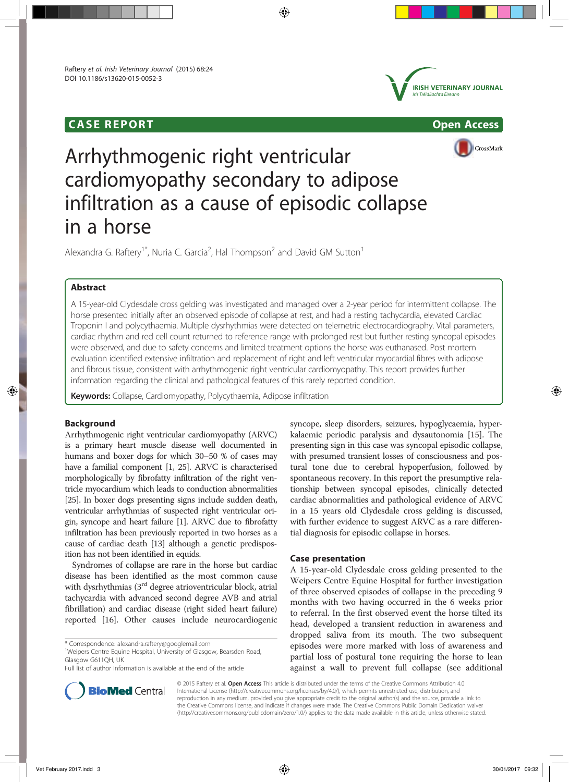## CASE REPORT Open Access







# Arrhythmogenic right ventricular cardiomyopathy secondary to adipose infiltration as a cause of episodic collapse in a horse

Alexandra G. Raftery<sup>1\*</sup>, Nuria C. Garcia<sup>2</sup>, Hal Thompson<sup>2</sup> and David GM Sutton<sup>1</sup>

## Abstract

A 15-year-old Clydesdale cross gelding was investigated and managed over a 2-year period for intermittent collapse. The horse presented initially after an observed episode of collapse at rest, and had a resting tachycardia, elevated Cardiac Troponin I and polycythaemia. Multiple dysrhythmias were detected on telemetric electrocardiography. Vital parameters, cardiac rhythm and red cell count returned to reference range with prolonged rest but further resting syncopal episodes were observed, and due to safety concerns and limited treatment options the horse was euthanased. Post mortem evaluation identified extensive infiltration and replacement of right and left ventricular myocardial fibres with adipose and fibrous tissue, consistent with arrhythmogenic right ventricular cardiomyopathy. This report provides further information regarding the clinical and pathological features of this rarely reported condition.

Keywords: Collapse, Cardiomyopathy, Polycythaemia, Adipose infiltration

## Background

Arrhythmogenic right ventricular cardiomyopathy (ARVC) is a primary heart muscle disease well documented in humans and boxer dogs for which 30–50 % of cases may have a familial component [1, 25]. ARVC is characterised morphologically by fibrofatty infiltration of the right ventricle myocardium which leads to conduction abnormalities [25]. In boxer dogs presenting signs include sudden death, ventricular arrhythmias of suspected right ventricular origin, syncope and heart failure [1]. ARVC due to fibrofatty infiltration has been previously reported in two horses as a cause of cardiac death [13] although a genetic predisposition has not been identified in equids.

Syndromes of collapse are rare in the horse but cardiac disease has been identified as the most common cause with dysrhythmias (3<sup>rd</sup> degree atrioventricular block, atrial tachycardia with advanced second degree AVB and atrial fibrillation) and cardiac disease (right sided heart failure) reported [16]. Other causes include neurocardiogenic

<sup>1</sup>Weipers Centre Equine Hospital, University of Glasgow, Bearsden Road, Glasgow G611QH, UK

syncope, sleep disorders, seizures, hypoglycaemia, hyperkalaemic periodic paralysis and dysautonomia [15]. The presenting sign in this case was syncopal episodic collapse, with presumed transient losses of consciousness and postural tone due to cerebral hypoperfusion, followed by spontaneous recovery. In this report the presumptive relationship between syncopal episodes, clinically detected cardiac abnormalities and pathological evidence of ARVC in a 15 years old Clydesdale cross gelding is discussed, with further evidence to suggest ARVC as a rare differential diagnosis for episodic collapse in horses.

### Case presentation

A 15-year-old Clydesdale cross gelding presented to the Weipers Centre Equine Hospital for further investigation of three observed episodes of collapse in the preceding 9 months with two having occurred in the 6 weeks prior to referral. In the first observed event the horse tilted its head, developed a transient reduction in awareness and dropped saliva from its mouth. The two subsequent episodes were more marked with loss of awareness and partial loss of postural tone requiring the horse to lean against a wall to prevent full collapse (see additional



© 2015 Raftery et al. Open Access This article is distributed under the terms of the Creative Commons Attribution 4.0 International License (http://creativecommons.org/licenses/by/4.0/), which permits unrestricted use, distribution, and reproduction in any medium, provided you give appropriate credit to the original author(s) and the source, provide a link to the Creative Commons license, and indicate if changes were made. The Creative Commons Public Domain Dedication waiver (http://creativecommons.org/publicdomain/zero/1.0/) applies to the data made available in this article, unless otherwise stated.

<sup>\*</sup> Correspondence: alexandra.raftery@googlemail.com <sup>1</sup>

Full list of author information is available at the end of the article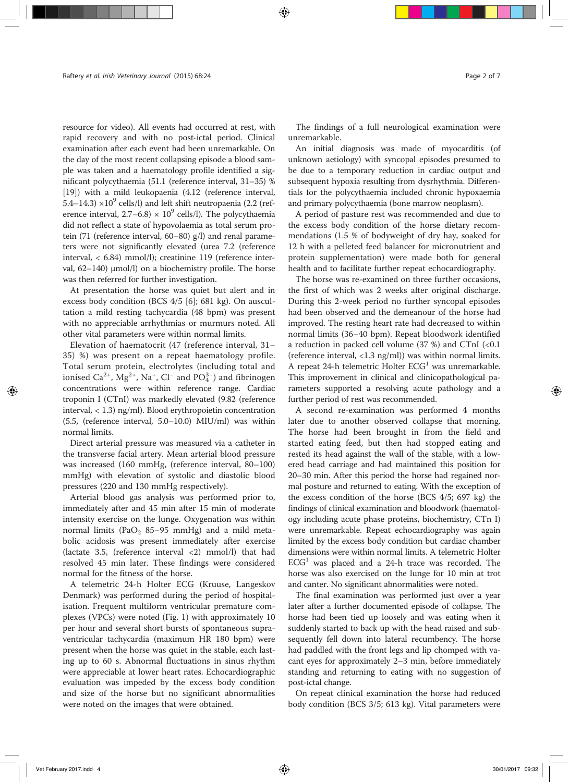resource for video). All events had occurred at rest, with rapid recovery and with no post-ictal period. Clinical examination after each event had been unremarkable. On the day of the most recent collapsing episode a blood sample was taken and a haematology profile identified a significant polycythaemia (51.1 (reference interval, 31–35) % [19]) with a mild leukopaenia (4.12 (reference interval, 5.4–14.3)  $\times 10^9$  cells/l) and left shift neutropaenia (2.2 (reference interval,  $2.7-6.8$ ) ×  $10^9$  cells/l). The polycythaemia did not reflect a state of hypovolaemia as total serum protein (71 (reference interval, 60–80) g/l) and renal parameters were not significantly elevated (urea 7.2 (reference interval, < 6.84) mmol/l); creatinine 119 (reference interval, 62–140) μmol/l) on a biochemistry profile. The horse was then referred for further investigation.

At presentation the horse was quiet but alert and in excess body condition (BCS 4/5 [6]; 681 kg). On auscultation a mild resting tachycardia (48 bpm) was present with no appreciable arrhythmias or murmurs noted. All other vital parameters were within normal limits.

Elevation of haematocrit (47 (reference interval, 31– 35) %) was present on a repeat haematology profile. Total serum protein, electrolytes (including total and ionised Ca<sup>2+</sup>,  $Mg^{2+}$ , Na<sup>+</sup>, Cl<sup>−</sup> and PO $_4^{3-}$ ) and fibrinogen concentrations were within reference range. Cardiac troponin I (CTnI) was markedly elevated (9.82 (reference interval, < 1.3) ng/ml). Blood erythropoietin concentration (5.5, (reference interval, 5.0–10.0) MIU/ml) was within normal limits.

Direct arterial pressure was measured via a catheter in the transverse facial artery. Mean arterial blood pressure was increased (160 mmHg, (reference interval, 80–100) mmHg) with elevation of systolic and diastolic blood pressures (220 and 130 mmHg respectively).

Arterial blood gas analysis was performed prior to, immediately after and 45 min after 15 min of moderate intensity exercise on the lunge. Oxygenation was within normal limits (PaO<sub>2</sub> 85-95 mmHg) and a mild metabolic acidosis was present immediately after exercise (lactate 3.5, (reference interval <2) mmol/l) that had resolved 45 min later. These findings were considered normal for the fitness of the horse.

A telemetric 24-h Holter ECG (Kruuse, Langeskov Denmark) was performed during the period of hospitalisation. Frequent multiform ventricular premature complexes (VPCs) were noted (Fig. 1) with approximately 10 per hour and several short bursts of spontaneous supraventricular tachycardia (maximum HR 180 bpm) were present when the horse was quiet in the stable, each lasting up to 60 s. Abnormal fluctuations in sinus rhythm were appreciable at lower heart rates. Echocardiographic evaluation was impeded by the excess body condition and size of the horse but no significant abnormalities were noted on the images that were obtained.

The findings of a full neurological examination were unremarkable.

An initial diagnosis was made of myocarditis (of unknown aetiology) with syncopal episodes presumed to be due to a temporary reduction in cardiac output and subsequent hypoxia resulting from dysrhythmia. Differentials for the polycythaemia included chronic hypoxaemia and primary polycythaemia (bone marrow neoplasm).

A period of pasture rest was recommended and due to the excess body condition of the horse dietary recommendations (1.5 % of bodyweight of dry hay, soaked for 12 h with a pelleted feed balancer for micronutrient and protein supplementation) were made both for general health and to facilitate further repeat echocardiography.

The horse was re-examined on three further occasions, the first of which was 2 weeks after original discharge. During this 2-week period no further syncopal episodes had been observed and the demeanour of the horse had improved. The resting heart rate had decreased to within normal limits (36–40 bpm). Repeat bloodwork identified a reduction in packed cell volume (37 %) and CTnI (<0.1 (reference interval, <1.3 ng/ml)) was within normal limits. A repeat  $24$ -h telemetric Holter ECG<sup>1</sup> was unremarkable. This improvement in clinical and clinicopathological parameters supported a resolving acute pathology and a further period of rest was recommended.

A second re-examination was performed 4 months later due to another observed collapse that morning. The horse had been brought in from the field and started eating feed, but then had stopped eating and rested its head against the wall of the stable, with a lowered head carriage and had maintained this position for 20–30 min. After this period the horse had regained normal posture and returned to eating. With the exception of the excess condition of the horse (BCS 4/5; 697 kg) the findings of clinical examination and bloodwork (haematology including acute phase proteins, biochemistry, CTn I) were unremarkable. Repeat echocardiography was again limited by the excess body condition but cardiac chamber dimensions were within normal limits. A telemetric Holter  $ECG<sup>1</sup>$  was placed and a 24-h trace was recorded. The horse was also exercised on the lunge for 10 min at trot and canter. No significant abnormalities were noted.

The final examination was performed just over a year later after a further documented episode of collapse. The horse had been tied up loosely and was eating when it suddenly started to back up with the head raised and subsequently fell down into lateral recumbency. The horse had paddled with the front legs and lip chomped with vacant eyes for approximately 2–3 min, before immediately standing and returning to eating with no suggestion of post-ictal change.

On repeat clinical examination the horse had reduced body condition (BCS 3/5; 613 kg). Vital parameters were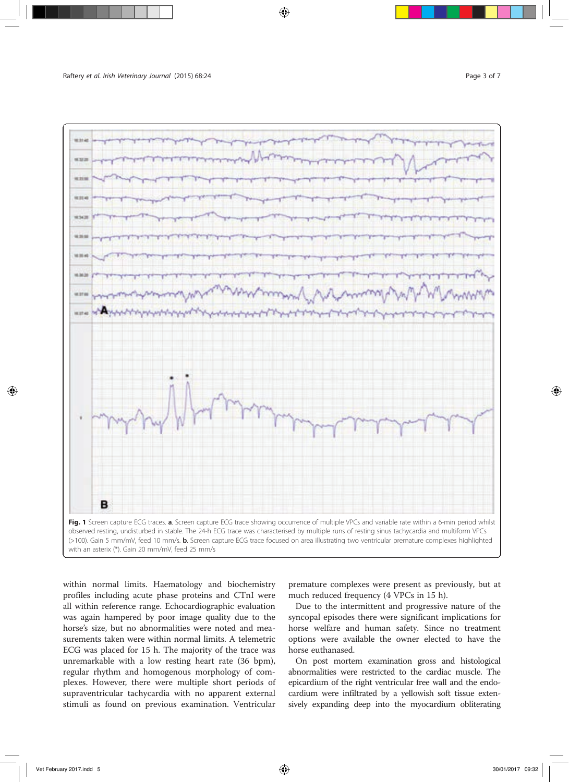

within normal limits. Haematology and biochemistry profiles including acute phase proteins and CTnI were all within reference range. Echocardiographic evaluation was again hampered by poor image quality due to the horse's size, but no abnormalities were noted and measurements taken were within normal limits. A telemetric ECG was placed for 15 h. The majority of the trace was unremarkable with a low resting heart rate (36 bpm), regular rhythm and homogenous morphology of complexes. However, there were multiple short periods of supraventricular tachycardia with no apparent external stimuli as found on previous examination. Ventricular

premature complexes were present as previously, but at much reduced frequency (4 VPCs in 15 h).

Due to the intermittent and progressive nature of the syncopal episodes there were significant implications for horse welfare and human safety. Since no treatment options were available the owner elected to have the horse euthanased.

On post mortem examination gross and histological abnormalities were restricted to the cardiac muscle. The epicardium of the right ventricular free wall and the endocardium were infiltrated by a yellowish soft tissue extensively expanding deep into the myocardium obliterating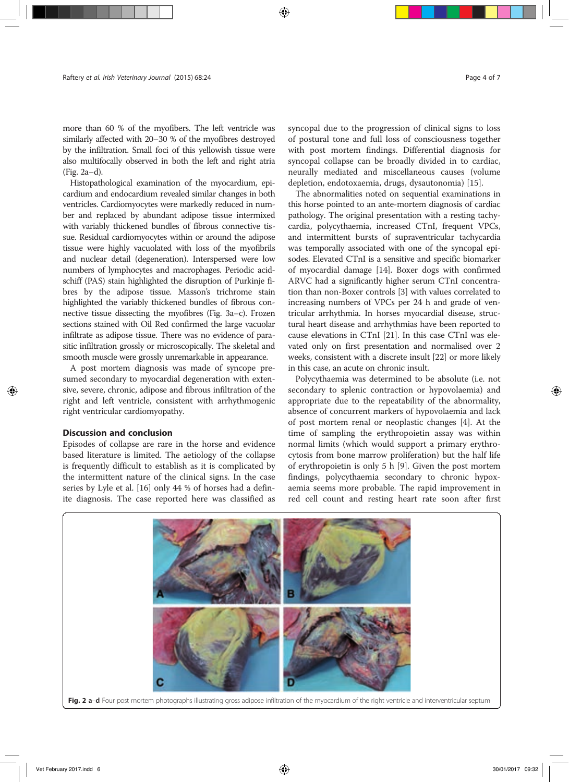more than 60 % of the myofibers. The left ventricle was similarly affected with 20–30 % of the myofibres destroyed by the infiltration. Small foci of this yellowish tissue were also multifocally observed in both the left and right atria (Fig. 2a–d).

Histopathological examination of the myocardium, epicardium and endocardium revealed similar changes in both ventricles. Cardiomyocytes were markedly reduced in number and replaced by abundant adipose tissue intermixed with variably thickened bundles of fibrous connective tissue. Residual cardiomyocytes within or around the adipose tissue were highly vacuolated with loss of the myofibrils and nuclear detail (degeneration). Interspersed were low numbers of lymphocytes and macrophages. Periodic acidschiff (PAS) stain highlighted the disruption of Purkinje fibres by the adipose tissue. Masson's trichrome stain highlighted the variably thickened bundles of fibrous connective tissue dissecting the myofibres (Fig. 3a–c). Frozen sections stained with Oil Red confirmed the large vacuolar infiltrate as adipose tissue. There was no evidence of parasitic infiltration grossly or microscopically. The skeletal and smooth muscle were grossly unremarkable in appearance.

A post mortem diagnosis was made of syncope presumed secondary to myocardial degeneration with extensive, severe, chronic, adipose and fibrous infiltration of the right and left ventricle, consistent with arrhythmogenic right ventricular cardiomyopathy.

## Discussion and conclusion

Episodes of collapse are rare in the horse and evidence based literature is limited. The aetiology of the collapse is frequently difficult to establish as it is complicated by the intermittent nature of the clinical signs. In the case series by Lyle et al. [16] only 44 % of horses had a definite diagnosis. The case reported here was classified as

syncopal due to the progression of clinical signs to loss of postural tone and full loss of consciousness together with post mortem findings. Differential diagnosis for syncopal collapse can be broadly divided in to cardiac, neurally mediated and miscellaneous causes (volume depletion, endotoxaemia, drugs, dysautonomia) [15].

The abnormalities noted on sequential examinations in this horse pointed to an ante-mortem diagnosis of cardiac pathology. The original presentation with a resting tachycardia, polycythaemia, increased CTnI, frequent VPCs, and intermittent bursts of supraventricular tachycardia was temporally associated with one of the syncopal episodes. Elevated CTnI is a sensitive and specific biomarker of myocardial damage [14]. Boxer dogs with confirmed ARVC had a significantly higher serum CTnI concentration than non-Boxer controls [3] with values correlated to increasing numbers of VPCs per 24 h and grade of ventricular arrhythmia. In horses myocardial disease, structural heart disease and arrhythmias have been reported to cause elevations in CTnI [21]. In this case CTnI was elevated only on first presentation and normalised over 2 weeks, consistent with a discrete insult [22] or more likely in this case, an acute on chronic insult.

Polycythaemia was determined to be absolute (i.e. not secondary to splenic contraction or hypovolaemia) and appropriate due to the repeatability of the abnormality, absence of concurrent markers of hypovolaemia and lack of post mortem renal or neoplastic changes [4]. At the time of sampling the erythropoietin assay was within normal limits (which would support a primary erythrocytosis from bone marrow proliferation) but the half life of erythropoietin is only 5 h [9]. Given the post mortem findings, polycythaemia secondary to chronic hypoxaemia seems more probable. The rapid improvement in red cell count and resting heart rate soon after first

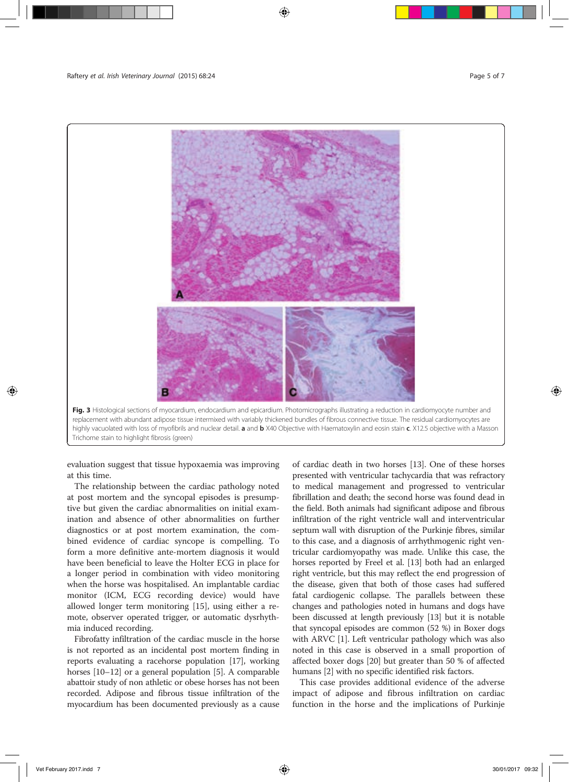

evaluation suggest that tissue hypoxaemia was improving at this time.

The relationship between the cardiac pathology noted at post mortem and the syncopal episodes is presumptive but given the cardiac abnormalities on initial examination and absence of other abnormalities on further diagnostics or at post mortem examination, the combined evidence of cardiac syncope is compelling. To form a more definitive ante-mortem diagnosis it would have been beneficial to leave the Holter ECG in place for a longer period in combination with video monitoring when the horse was hospitalised. An implantable cardiac monitor (ICM, ECG recording device) would have allowed longer term monitoring [15], using either a remote, observer operated trigger, or automatic dysrhythmia induced recording.

Fibrofatty infiltration of the cardiac muscle in the horse is not reported as an incidental post mortem finding in reports evaluating a racehorse population [17], working horses [10–12] or a general population [5]. A comparable abattoir study of non athletic or obese horses has not been recorded. Adipose and fibrous tissue infiltration of the myocardium has been documented previously as a cause of cardiac death in two horses [13]. One of these horses presented with ventricular tachycardia that was refractory to medical management and progressed to ventricular fibrillation and death; the second horse was found dead in the field. Both animals had significant adipose and fibrous infiltration of the right ventricle wall and interventricular septum wall with disruption of the Purkinje fibres, similar to this case, and a diagnosis of arrhythmogenic right ventricular cardiomyopathy was made. Unlike this case, the horses reported by Freel et al. [13] both had an enlarged right ventricle, but this may reflect the end progression of the disease, given that both of those cases had suffered fatal cardiogenic collapse. The parallels between these changes and pathologies noted in humans and dogs have been discussed at length previously [13] but it is notable that syncopal episodes are common (52 %) in Boxer dogs with ARVC [1]. Left ventricular pathology which was also noted in this case is observed in a small proportion of affected boxer dogs [20] but greater than 50 % of affected humans [2] with no specific identified risk factors.

This case provides additional evidence of the adverse impact of adipose and fibrous infiltration on cardiac function in the horse and the implications of Purkinje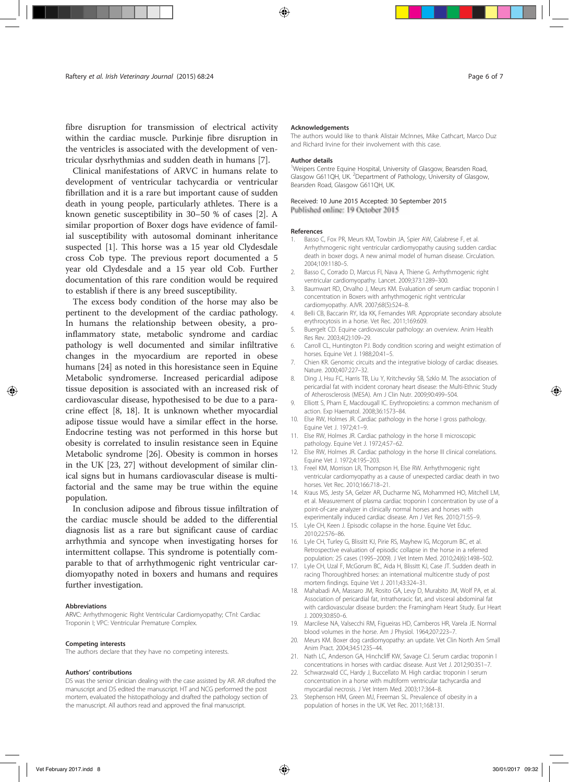fibre disruption for transmission of electrical activity within the cardiac muscle. Purkinje fibre disruption in the ventricles is associated with the development of ventricular dysrhythmias and sudden death in humans [7].

Clinical manifestations of ARVC in humans relate to development of ventricular tachycardia or ventricular fibrillation and it is a rare but important cause of sudden death in young people, particularly athletes. There is a known genetic susceptibility in 30–50 % of cases [2]. A similar proportion of Boxer dogs have evidence of familial susceptibility with autosomal dominant inheritance suspected [1]. This horse was a 15 year old Clydesdale cross Cob type. The previous report documented a 5 year old Clydesdale and a 15 year old Cob. Further documentation of this rare condition would be required to establish if there is any breed susceptibility.

The excess body condition of the horse may also be pertinent to the development of the cardiac pathology. In humans the relationship between obesity, a proinflammatory state, metabolic syndrome and cardiac pathology is well documented and similar infiltrative changes in the myocardium are reported in obese humans [24] as noted in this horesistance seen in Equine Metabolic syndromerse. Increased pericardial adipose tissue deposition is associated with an increased risk of cardiovascular disease, hypothesised to be due to a paracrine effect [8, 18]. It is unknown whether myocardial adipose tissue would have a similar effect in the horse. Endocrine testing was not performed in this horse but obesity is correlated to insulin resistance seen in Equine Metabolic syndrome [26]. Obesity is common in horses in the UK [23, 27] without development of similar clinical signs but in humans cardiovascular disease is multifactorial and the same may be true within the equine population.

In conclusion adipose and fibrous tissue infiltration of the cardiac muscle should be added to the differential diagnosis list as a rare but significant cause of cardiac arrhythmia and syncope when investigating horses for intermittent collapse. This syndrome is potentially comparable to that of arrhythmogenic right ventricular cardiomyopathy noted in boxers and humans and requires further investigation.

#### Abbreviations

ARVC: Arrhythmogenic Right Ventricular Cardiomyopathy; CTnI: Cardiac Troponin I; VPC: Ventricular Premature Complex.

#### Competing interests

The authors declare that they have no competing interests.

#### Authors' contributions

DS was the senior clinician dealing with the case assisted by AR. AR drafted the manuscript and DS edited the manuscript. HT and NCG performed the post mortem, evaluated the histopathology and drafted the pathology section of the manuscript. All authors read and approved the final manuscript.

#### Acknowledgements

The authors would like to thank Alistair McInnes, Mike Cathcart, Marco Duz and Richard Irvine for their involvement with this case.

#### Author details

<sup>1</sup>Weipers Centre Equine Hospital, University of Glasgow, Bearsden Road, Glasgow G611QH, UK. <sup>2</sup>Department of Pathology, University of Glasgow, Bearsden Road, Glasgow G611QH, UK.

Received: 10 June 2015 Accepted: 30 September 2015 Published online: 19 October 2015

#### References

- Basso C, Fox PR, Meurs KM, Towbin JA, Spier AW, Calabrese F, et al. Arrhythmogenic right ventricular cardiomyopathy causing sudden cardiac death in boxer dogs. A new animal model of human disease. Circulation. 2004;109:1180–5.
- 2. Basso C, Corrado D, Marcus FI, Nava A, Thiene G. Arrhythmogenic right ventricular cardiomyopathy. Lancet. 2009;373:1289–300.
- 3. Baumwart RD, Orvalho J, Meurs KM. Evaluation of serum cardiac troponin I concentration in Boxers with arrhythmogenic right ventricular cardiomyopathy. AJVR. 2007;68(5):524–8.
- 4. Belli CB, Baccarin RY, Ida KK, Fernandes WR. Appropriate secondary absolute erythrocytosis in a horse. Vet Rec. 2011;169:609.
- 5. Buergelt CD. Equine cardiovascular pathology: an overview. Anim Health Res Rev. 2003;4(2):109–29.
- 6. Carroll CL, Huntington PJ. Body condition scoring and weight estimation of horses. Equine Vet J. 1988;20:41–5.
- 7. Chien KR. Genomic circuits and the integrative biology of cardiac diseases. Nature. 2000;407:227–32.
- 8. Ding J, Hsu FC, Harris TB, Liu Y, Kritchevsky SB, Szklo M. The association of pericardial fat with incident coronary heart disease: the Multi-Ethnic Study of Atherosclerosis (MESA). Am J Clin Nutr. 2009;90:499–504.
- 9. Elliott S, Pham E, Macdougall IC. Erythropoietins: a common mechanism of action. Exp Haematol. 2008;36:1573–84.
- 10. Else RW, Holmes JR. Cardiac pathology in the horse I gross pathology. Equine Vet J. 1972;4:1–9.
- 11. Else RW, Holmes JR. Cardiac pathology in the horse II microscopic pathology. Equine Vet J. 1972;4:57–62.
- 12. Else RW, Holmes JR. Cardiac pathology in the horse III clinical correlations. Equine Vet J. 1972;4:195–203.
- 13. Freel KM, Morrison LR, Thompson H, Else RW. Arrhythmogenic right ventricular cardiomyopathy as a cause of unexpected cardiac death in two horses. Vet Rec. 2010;166:718–21.
- 14. Kraus MS, Jesty SA, Gelzer AR, Ducharme NG, Mohammed HO, Mitchell LM, et al. Measurement of plasma cardiac troponin I concentration by use of a point-of-care analyzer in clinically normal horses and horses with experimentally induced cardiac disease. Am J Vet Res. 2010;71:55–9.
- 15. Lyle CH, Keen J. Episodic collapse in the horse. Equine Vet Educ. 2010;22:576–86.
- 16. Lyle CH, Turley G, Blissitt KJ, Pirie RS, Mayhew IG, Mcgorum BC, et al. Retrospective evaluation of episodic collapse in the horse in a referred population: 25 cases (1995–2009). J Vet Intern Med. 2010;24(6):1498–502.
- 17. Lyle CH, Uzal F, McGorum BC, Aida H, Blissitt KJ, Case JT. Sudden death in racing Thoroughbred horses: an international multicentre study of post mortem findings. Equine Vet J. 2011;43:324–31.
- 18. Mahabadi AA, Massaro JM, Rosito GA, Levy D, Murabito JM, Wolf PA, et al. Association of pericardial fat, intrathoracic fat, and visceral abdominal fat with cardiovascular disease burden: the Framingham Heart Study. Eur Heart J. 2009;30:850–6.
- 19. Marcilese NA, Valsecchi RM, Figueiras HD, Camberos HR, Varela JE. Normal blood volumes in the horse. Am J Physiol. 1964;207:223–7.
- 20. Meurs KM. Boxer dog cardiomyopathy: an update. Vet Clin North Am Small Anim Pract. 2004;34:51235–44.
- 21. Nath LC, Anderson GA, Hinchcliff KW, Savage CJ. Serum cardiac troponin I concentrations in horses with cardiac disease. Aust Vet J. 2012;90:351–7.
- 22. Schwarzwald CC, Hardy J, Buccellato M. High cardiac troponin I serum concentration in a horse with multiform ventricular tachycardia and myocardial necrosis. J Vet Intern Med. 2003;17:364–8.
- 23. Stephenson HM, Green MJ, Freeman SL. Prevalence of obesity in a population of horses in the UK. Vet Rec. 2011;168:131.